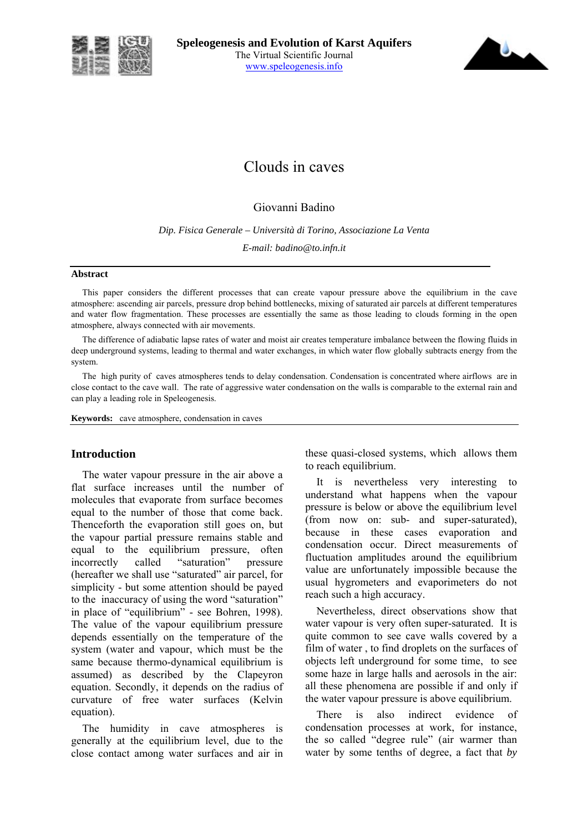



# Clouds in caves

## Giovanni Badino

*Dip. Fisica Generale – Università di Torino, Associazione La Venta E-mail: badino@to.infn.it* 

#### **Abstract**

This paper considers the different processes that can create vapour pressure above the equilibrium in the cave atmosphere: ascending air parcels, pressure drop behind bottlenecks, mixing of saturated air parcels at different temperatures and water flow fragmentation. These processes are essentially the same as those leading to clouds forming in the open atmosphere, always connected with air movements.

The difference of adiabatic lapse rates of water and moist air creates temperature imbalance between the flowing fluids in deep underground systems, leading to thermal and water exchanges, in which water flow globally subtracts energy from the system.

The high purity of caves atmospheres tends to delay condensation. Condensation is concentrated where airflows are in close contact to the cave wall. The rate of aggressive water condensation on the walls is comparable to the external rain and can play a leading role in Speleogenesis.

**Keywords:** cave atmosphere, condensation in caves

#### **Introduction**

The water vapour pressure in the air above a flat surface increases until the number of molecules that evaporate from surface becomes equal to the number of those that come back. Thenceforth the evaporation still goes on, but the vapour partial pressure remains stable and equal to the equilibrium pressure, often incorrectly called "saturation" pressure (hereafter we shall use "saturated" air parcel, for simplicity - but some attention should be payed to the inaccuracy of using the word "saturation" in place of "equilibrium" - see Bohren, 1998). The value of the vapour equilibrium pressure depends essentially on the temperature of the system (water and vapour, which must be the same because thermo-dynamical equilibrium is assumed) as described by the Clapeyron equation. Secondly, it depends on the radius of curvature of free water surfaces (Kelvin equation).

The humidity in cave atmospheres is generally at the equilibrium level, due to the close contact among water surfaces and air in these quasi-closed systems, which allows them to reach equilibrium.

It is nevertheless very interesting to understand what happens when the vapour pressure is below or above the equilibrium level (from now on: sub- and super-saturated), because in these cases evaporation and condensation occur. Direct measurements of fluctuation amplitudes around the equilibrium value are unfortunately impossible because the usual hygrometers and evaporimeters do not reach such a high accuracy.

Nevertheless, direct observations show that water vapour is very often super-saturated. It is quite common to see cave walls covered by a film of water , to find droplets on the surfaces of objects left underground for some time, to see some haze in large halls and aerosols in the air: all these phenomena are possible if and only if the water vapour pressure is above equilibrium.

There is also indirect evidence of condensation processes at work, for instance, the so called "degree rule" (air warmer than water by some tenths of degree, a fact that *by*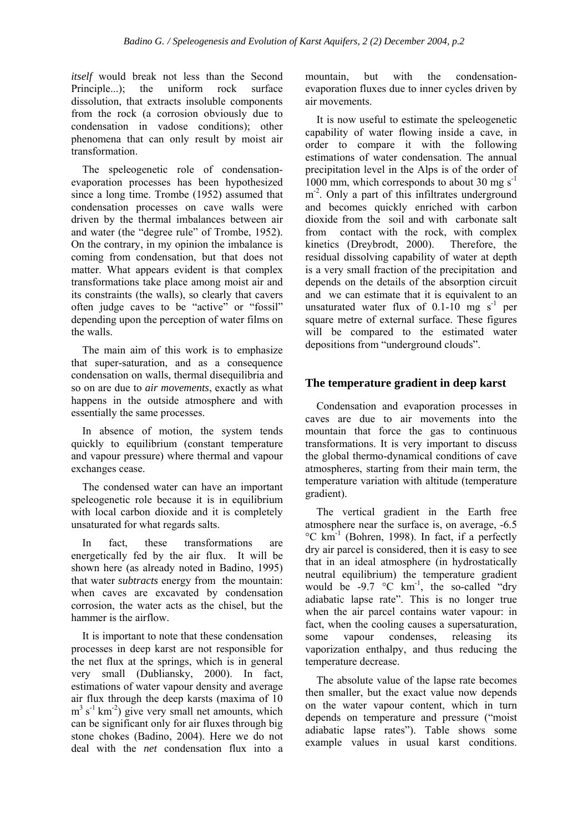*itself* would break not less than the Second Principle...); the uniform rock surface dissolution, that extracts insoluble components from the rock (a corrosion obviously due to condensation in vadose conditions); other phenomena that can only result by moist air transformation.

The speleogenetic role of condensationevaporation processes has been hypothesized since a long time. Trombe (1952) assumed that condensation processes on cave walls were driven by the thermal imbalances between air and water (the "degree rule" of Trombe, 1952). On the contrary, in my opinion the imbalance is coming from condensation, but that does not matter. What appears evident is that complex transformations take place among moist air and its constraints (the walls), so clearly that cavers often judge caves to be "active" or "fossil" depending upon the perception of water films on the walls.

The main aim of this work is to emphasize that super-saturation, and as a consequence condensation on walls, thermal disequilibria and so on are due to *air movements*, exactly as what happens in the outside atmosphere and with essentially the same processes.

In absence of motion, the system tends quickly to equilibrium (constant temperature and vapour pressure) where thermal and vapour exchanges cease.

The condensed water can have an important speleogenetic role because it is in equilibrium with local carbon dioxide and it is completely unsaturated for what regards salts.

In fact, these transformations are energetically fed by the air flux. It will be shown here (as already noted in Badino, 1995) that water *subtracts* energy from the mountain: when caves are excavated by condensation corrosion, the water acts as the chisel, but the hammer is the airflow.

It is important to note that these condensation processes in deep karst are not responsible for the net flux at the springs, which is in general very small (Dubliansky, 2000). In fact, estimations of water vapour density and average air flux through the deep karsts (maxima of 10  $m<sup>3</sup>$  s<sup>-1</sup> km<sup>-2</sup>) give very small net amounts, which can be significant only for air fluxes through big stone chokes (Badino, 2004). Here we do not deal with the *net* condensation flux into a

mountain, but with the condensationevaporation fluxes due to inner cycles driven by air movements.

It is now useful to estimate the speleogenetic capability of water flowing inside a cave, in order to compare it with the following estimations of water condensation. The annual precipitation level in the Alps is of the order of  $1000$  mm, which corresponds to about 30 mg s<sup>-1</sup> m<sup>-2</sup>. Only a part of this infiltrates underground and becomes quickly enriched with carbon dioxide from the soil and with carbonate salt from contact with the rock, with complex kinetics (Dreybrodt, 2000). Therefore, the residual dissolving capability of water at depth is a very small fraction of the precipitation and depends on the details of the absorption circuit and we can estimate that it is equivalent to an unsaturated water flux of 0.1-10 mg  $s^{-1}$  per square metre of external surface. These figures will be compared to the estimated water depositions from "underground clouds".

### **The temperature gradient in deep karst**

Condensation and evaporation processes in caves are due to air movements into the mountain that force the gas to continuous transformations. It is very important to discuss the global thermo-dynamical conditions of cave atmospheres, starting from their main term, the temperature variation with altitude (temperature gradient).

The vertical gradient in the Earth free atmosphere near the surface is, on average, -6.5  $^{\circ}$ C km<sup>-1</sup> (Bohren, 1998). In fact, if a perfectly dry air parcel is considered, then it is easy to see that in an ideal atmosphere (in hydrostatically neutral equilibrium) the temperature gradient would be -9.7  $\degree$ C km<sup>-1</sup>, the so-called "dry adiabatic lapse rate". This is no longer true when the air parcel contains water vapour: in fact, when the cooling causes a supersaturation, some vapour condenses, releasing its vaporization enthalpy, and thus reducing the temperature decrease.

The absolute value of the lapse rate becomes then smaller, but the exact value now depends on the water vapour content, which in turn depends on temperature and pressure ("moist" adiabatic lapse rates"). Table shows some example values in usual karst conditions.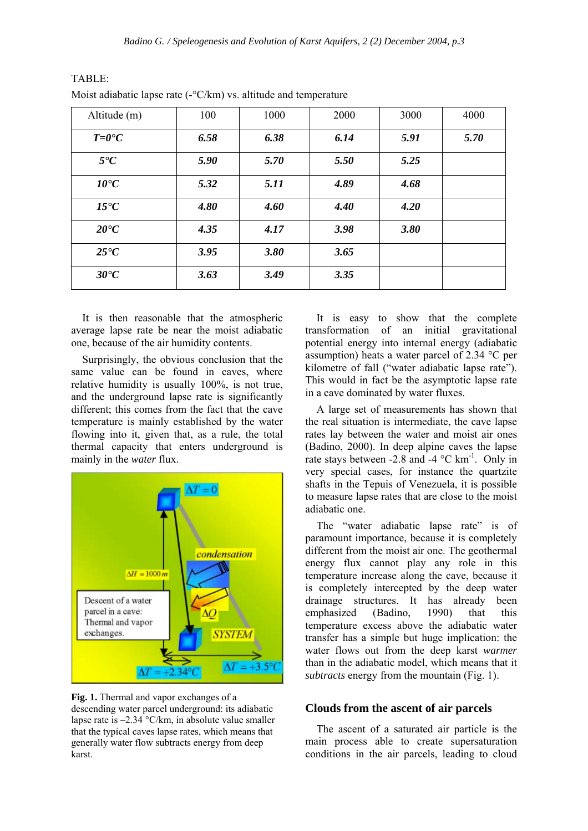| Altitude (m)                          | 100  | 1000 | 2000 | 3000 | 4000 |
|---------------------------------------|------|------|------|------|------|
| $T=0$ <sup><math>\circ</math></sup> C | 6.58 | 6.38 | 6.14 | 5.91 | 5.70 |
| $5^{\bullet}C$                        | 5.90 | 5.70 | 5.50 | 5.25 |      |
| $10^{\circ}C$                         | 5.32 | 5.11 | 4.89 | 4.68 |      |
| $15^{\circ}C$                         | 4.80 | 4.60 | 4.40 | 4.20 |      |
| $20^{\circ}C$                         | 4.35 | 4.17 | 3.98 | 3.80 |      |
| $25^{\circ}C$                         | 3.95 | 3.80 | 3.65 |      |      |
| $30^{\circ}C$                         | 3.63 | 3.49 | 3.35 |      |      |

| TABLE:                                                            |
|-------------------------------------------------------------------|
| Moist adiabatic lapse rate $(-C/km)$ vs. altitude and temperature |

It is then reasonable that the atmospheric average lapse rate be near the moist adiabatic one, because of the air humidity contents.

Surprisingly, the obvious conclusion that the same value can be found in caves, where relative humidity is usually 100%, is not true, and the underground lapse rate is significantly different; this comes from the fact that the cave temperature is mainly established by the water flowing into it, given that, as a rule, the total thermal capacity that enters underground is mainly in the *water* flux.



**Fig. 1.** Thermal and vapor exchanges of a descending water parcel underground: its adiabatic lapse rate is  $-2.34$  °C/km, in absolute value smaller that the typical caves lapse rates, which means that generally water flow subtracts energy from deep karst.

It is easy to show that the complete transformation of an initial gravitational potential energy into internal energy (adiabatic assumption) heats a water parcel of 2.34 °C per kilometre of fall ("water adiabatic lapse rate"). This would in fact be the asymptotic lapse rate in a cave dominated by water fluxes.

A large set of measurements has shown that the real situation is intermediate, the cave lapse rates lay between the water and moist air ones (Badino, 2000). In deep alpine caves the lapse rate stays between -2.8 and -4  $^{\circ}$ C km<sup>-1</sup>. Only in very special cases, for instance the quartzite shafts in the Tepuis of Venezuela, it is possible to measure lapse rates that are close to the moist adiabatic one.

The "water adiabatic lapse rate" is of paramount importance, because it is completely different from the moist air one. The geothermal energy flux cannot play any role in this temperature increase along the cave, because it is completely intercepted by the deep water drainage structures. It has already been emphasized (Badino, 1990) that this temperature excess above the adiabatic water transfer has a simple but huge implication: the water flows out from the deep karst *warmer* than in the adiabatic model, which means that it *subtracts* energy from the mountain (Fig. 1).

#### **Clouds from the ascent of air parcels**

The ascent of a saturated air particle is the main process able to create supersaturation conditions in the air parcels, leading to cloud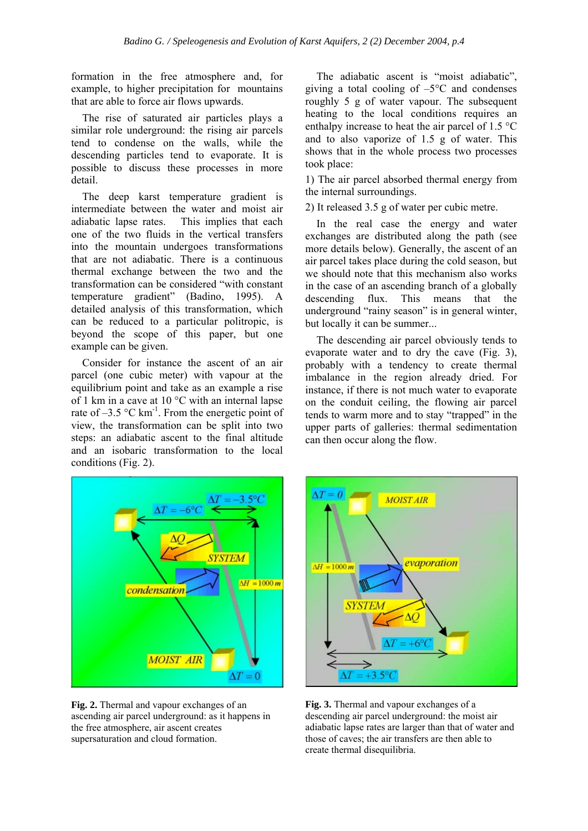formation in the free atmosphere and, for example, to higher precipitation for mountains that are able to force air flows upwards.

The rise of saturated air particles plays a similar role underground: the rising air parcels tend to condense on the walls, while the descending particles tend to evaporate. It is possible to discuss these processes in more detail.

The deep karst temperature gradient is intermediate between the water and moist air adiabatic lapse rates. This implies that each one of the two fluids in the vertical transfers into the mountain undergoes transformations that are not adiabatic. There is a continuous thermal exchange between the two and the transformation can be considered "with constant temperature gradient" (Badino, 1995). A detailed analysis of this transformation, which can be reduced to a particular politropic, is beyond the scope of this paper, but one example can be given.

Consider for instance the ascent of an air parcel (one cubic meter) with vapour at the equilibrium point and take as an example a rise of 1 km in a cave at 10 °C with an internal lapse rate of  $-3.5$  °C km<sup>-1</sup>. From the energetic point of view, the transformation can be split into two steps: an adiabatic ascent to the final altitude and an isobaric transformation to the local conditions (Fig. 2).

The adiabatic ascent is "moist adiabatic", giving a total cooling of  $-5^{\circ}$ C and condenses roughly 5 g of water vapour. The subsequent heating to the local conditions requires an enthalpy increase to heat the air parcel of 1.5 °C and to also vaporize of 1.5 g of water. This shows that in the whole process two processes took place:

1) The air parcel absorbed thermal energy from the internal surroundings.

2) It released 3.5 g of water per cubic metre.

In the real case the energy and water exchanges are distributed along the path (see more details below). Generally, the ascent of an air parcel takes place during the cold season, but we should note that this mechanism also works in the case of an ascending branch of a globally descending flux. This means that the underground "rainy season" is in general winter, but locally it can be summer...

The descending air parcel obviously tends to evaporate water and to dry the cave (Fig. 3), probably with a tendency to create thermal imbalance in the region already dried. For instance, if there is not much water to evaporate on the conduit ceiling, the flowing air parcel tends to warm more and to stay "trapped" in the upper parts of galleries: thermal sedimentation can then occur along the flow.



**Fig. 2.** Thermal and vapour exchanges of an ascending air parcel underground: as it happens in the free atmosphere, air ascent creates supersaturation and cloud formation.



**Fig. 3.** Thermal and vapour exchanges of a descending air parcel underground: the moist air adiabatic lapse rates are larger than that of water and those of caves; the air transfers are then able to create thermal disequilibria.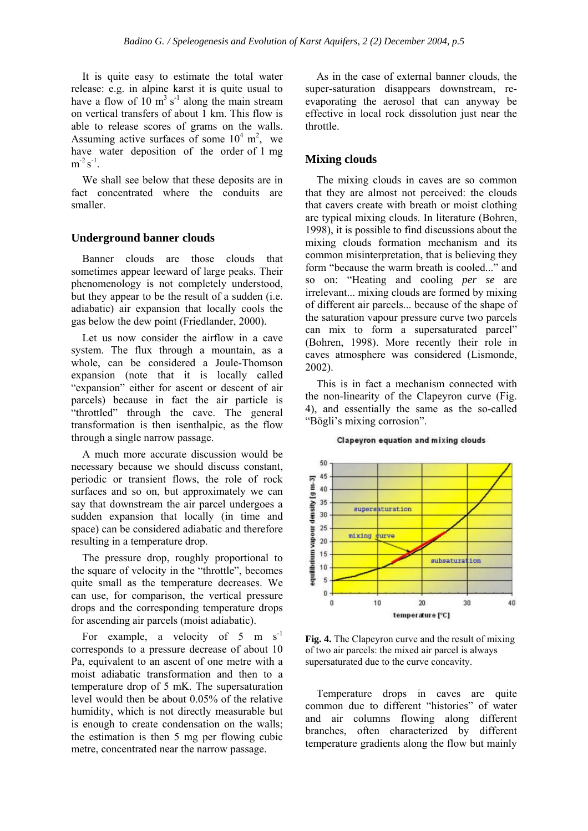It is quite easy to estimate the total water release: e.g. in alpine karst it is quite usual to have a flow of  $10 \text{ m}^3 \text{ s}^{-1}$  along the main stream on vertical transfers of about 1 km. This flow is able to release scores of grams on the walls. Assuming active surfaces of some  $10^4$  m<sup>2</sup>, we have water deposition of the order of 1 mg  $m^{-2} s^{-1}$ .

We shall see below that these deposits are in fact concentrated where the conduits are smaller.

#### **Underground banner clouds**

Banner clouds are those clouds that sometimes appear leeward of large peaks. Their phenomenology is not completely understood, but they appear to be the result of a sudden (i.e. adiabatic) air expansion that locally cools the gas below the dew point (Friedlander, 2000).

Let us now consider the airflow in a cave system. The flux through a mountain, as a whole, can be considered a Joule-Thomson expansion (note that it is locally called "expansion" either for ascent or descent of air parcels) because in fact the air particle is "throttled" through the cave. The general transformation is then isenthalpic, as the flow through a single narrow passage.

A much more accurate discussion would be necessary because we should discuss constant, periodic or transient flows, the role of rock surfaces and so on, but approximately we can say that downstream the air parcel undergoes a sudden expansion that locally (in time and space) can be considered adiabatic and therefore resulting in a temperature drop.

The pressure drop, roughly proportional to the square of velocity in the "throttle", becomes quite small as the temperature decreases. We can use, for comparison, the vertical pressure drops and the corresponding temperature drops for ascending air parcels (moist adiabatic).

For example, a velocity of 5 m  $s^{-1}$ corresponds to a pressure decrease of about 10 Pa, equivalent to an ascent of one metre with a moist adiabatic transformation and then to a temperature drop of 5 mK. The supersaturation level would then be about 0.05% of the relative humidity, which is not directly measurable but is enough to create condensation on the walls; the estimation is then 5 mg per flowing cubic metre, concentrated near the narrow passage.

As in the case of external banner clouds, the super-saturation disappears downstream, reevaporating the aerosol that can anyway be effective in local rock dissolution just near the throttle.

#### **Mixing clouds**

The mixing clouds in caves are so common that they are almost not perceived: the clouds that cavers create with breath or moist clothing are typical mixing clouds. In literature (Bohren, 1998), it is possible to find discussions about the mixing clouds formation mechanism and its common misinterpretation, that is believing they form "because the warm breath is cooled..." and so on: "Heating and cooling *per se* are irrelevant... mixing clouds are formed by mixing of different air parcels... because of the shape of the saturation vapour pressure curve two parcels can mix to form a supersaturated parcel<sup>"</sup> (Bohren, 1998). More recently their role in caves atmosphere was considered (Lismonde, 2002).

This is in fact a mechanism connected with the non-linearity of the Clapeyron curve (Fig. 4), and essentially the same as the so-called "Bögli's mixing corrosion".

# **Clapeyron equation and mixing clouds**



**Fig. 4.** The Clapeyron curve and the result of mixing of two air parcels: the mixed air parcel is always supersaturated due to the curve concavity.

Temperature drops in caves are quite common due to different "histories" of water and air columns flowing along different branches, often characterized by different temperature gradients along the flow but mainly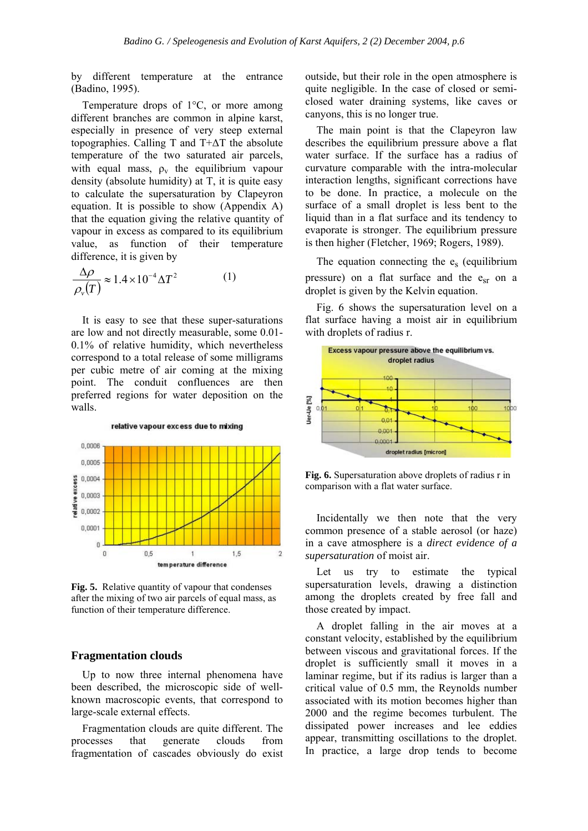by different temperature at the entrance (Badino, 1995).

Temperature drops of 1°C, or more among different branches are common in alpine karst, especially in presence of very steep external topographies. Calling T and T+∆T the absolute temperature of the two saturated air parcels, with equal mass,  $\rho_v$  the equilibrium vapour density (absolute humidity) at T, it is quite easy to calculate the supersaturation by Clapeyron equation. It is possible to show (Appendix A) that the equation giving the relative quantity of vapour in excess as compared to its equilibrium value, as function of their temperature difference, it is given by

$$
\frac{\Delta \rho}{\rho_v(T)} \approx 1.4 \times 10^{-4} \Delta T^2 \tag{1}
$$

It is easy to see that these super-saturations are low and not directly measurable, some 0.01- 0.1% of relative humidity, which nevertheless correspond to a total release of some milligrams per cubic metre of air coming at the mixing point. The conduit confluences are then preferred regions for water deposition on the walls.



**Fig. 5.** Relative quantity of vapour that condenses after the mixing of two air parcels of equal mass, as function of their temperature difference.

#### **Fragmentation clouds**

Up to now three internal phenomena have been described, the microscopic side of wellknown macroscopic events, that correspond to large-scale external effects.

Fragmentation clouds are quite different. The processes that generate clouds from fragmentation of cascades obviously do exist outside, but their role in the open atmosphere is quite negligible. In the case of closed or semiclosed water draining systems, like caves or canyons, this is no longer true.

The main point is that the Clapeyron law describes the equilibrium pressure above a flat water surface. If the surface has a radius of curvature comparable with the intra-molecular interaction lengths, significant corrections have to be done. In practice, a molecule on the surface of a small droplet is less bent to the liquid than in a flat surface and its tendency to evaporate is stronger. The equilibrium pressure is then higher (Fletcher, 1969; Rogers, 1989).

The equation connecting the  $e_s$  (equilibrium pressure) on a flat surface and the esr on a droplet is given by the Kelvin equation.

Fig. 6 shows the supersaturation level on a flat surface having a moist air in equilibrium with droplets of radius r.



**Fig. 6.** Supersaturation above droplets of radius r in comparison with a flat water surface.

Incidentally we then note that the very common presence of a stable aerosol (or haze) in a cave atmosphere is a *direct evidence of a supersaturation* of moist air.

Let us try to estimate the typical supersaturation levels, drawing a distinction among the droplets created by free fall and those created by impact.

A droplet falling in the air moves at a constant velocity, established by the equilibrium between viscous and gravitational forces. If the droplet is sufficiently small it moves in a laminar regime, but if its radius is larger than a critical value of 0.5 mm, the Reynolds number associated with its motion becomes higher than 2000 and the regime becomes turbulent. The dissipated power increases and lee eddies appear, transmitting oscillations to the droplet. In practice, a large drop tends to become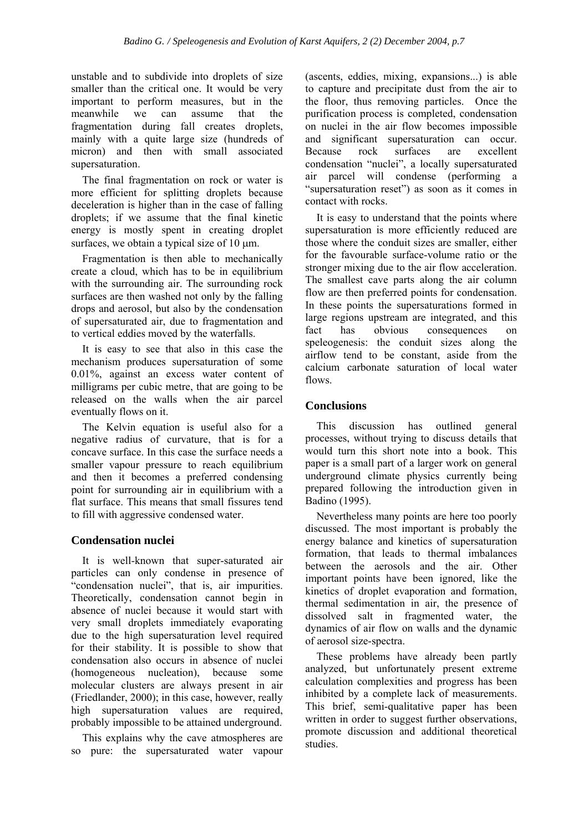unstable and to subdivide into droplets of size smaller than the critical one. It would be very important to perform measures, but in the meanwhile we can assume that the fragmentation during fall creates droplets, mainly with a quite large size (hundreds of micron) and then with small associated supersaturation.

The final fragmentation on rock or water is more efficient for splitting droplets because deceleration is higher than in the case of falling droplets; if we assume that the final kinetic energy is mostly spent in creating droplet surfaces, we obtain a typical size of  $10 \mu m$ .

Fragmentation is then able to mechanically create a cloud, which has to be in equilibrium with the surrounding air. The surrounding rock surfaces are then washed not only by the falling drops and aerosol, but also by the condensation of supersaturated air, due to fragmentation and to vertical eddies moved by the waterfalls.

It is easy to see that also in this case the mechanism produces supersaturation of some 0.01%, against an excess water content of milligrams per cubic metre, that are going to be released on the walls when the air parcel eventually flows on it.

The Kelvin equation is useful also for a negative radius of curvature, that is for a concave surface. In this case the surface needs a smaller vapour pressure to reach equilibrium and then it becomes a preferred condensing point for surrounding air in equilibrium with a flat surface. This means that small fissures tend to fill with aggressive condensed water.

#### **Condensation nuclei**

It is well-known that super-saturated air particles can only condense in presence of "condensation nuclei", that is, air impurities. Theoretically, condensation cannot begin in absence of nuclei because it would start with very small droplets immediately evaporating due to the high supersaturation level required for their stability. It is possible to show that condensation also occurs in absence of nuclei (homogeneous nucleation), because some molecular clusters are always present in air (Friedlander, 2000); in this case, however, really high supersaturation values are required, probably impossible to be attained underground.

This explains why the cave atmospheres are so pure: the supersaturated water vapour (ascents, eddies, mixing, expansions...) is able to capture and precipitate dust from the air to the floor, thus removing particles. Once the purification process is completed, condensation on nuclei in the air flow becomes impossible and significant supersaturation can occur. Because rock surfaces are excellent condensation "nuclei", a locally supersaturated air parcel will condense (performing a "supersaturation reset") as soon as it comes in contact with rocks.

It is easy to understand that the points where supersaturation is more efficiently reduced are those where the conduit sizes are smaller, either for the favourable surface-volume ratio or the stronger mixing due to the air flow acceleration. The smallest cave parts along the air column flow are then preferred points for condensation. In these points the supersaturations formed in large regions upstream are integrated, and this fact has obvious consequences on speleogenesis: the conduit sizes along the airflow tend to be constant, aside from the calcium carbonate saturation of local water flows.

#### **Conclusions**

This discussion has outlined general processes, without trying to discuss details that would turn this short note into a book. This paper is a small part of a larger work on general underground climate physics currently being prepared following the introduction given in Badino (1995).

Nevertheless many points are here too poorly discussed. The most important is probably the energy balance and kinetics of supersaturation formation, that leads to thermal imbalances between the aerosols and the air. Other important points have been ignored, like the kinetics of droplet evaporation and formation, thermal sedimentation in air, the presence of dissolved salt in fragmented water, the dynamics of air flow on walls and the dynamic of aerosol size-spectra.

These problems have already been partly analyzed, but unfortunately present extreme calculation complexities and progress has been inhibited by a complete lack of measurements. This brief, semi-qualitative paper has been written in order to suggest further observations. promote discussion and additional theoretical studies.